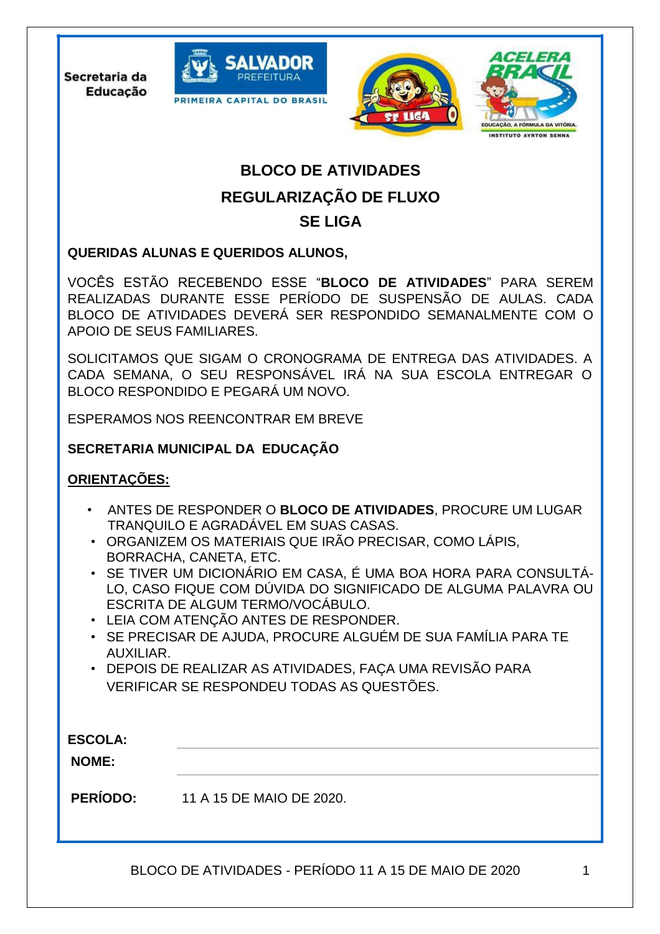Secretaria da **Educação** 







# **BLOCO DE ATIVIDADES REGULARIZAÇÃO DE FLUXO SE LIGA**

## **QUERIDAS ALUNAS E QUERIDOS ALUNOS,**

VOCÊS ESTÃO RECEBENDO ESSE "**BLOCO DE ATIVIDADES**" PARA SEREM REALIZADAS DURANTE ESSE PERÍODO DE SUSPENSÃO DE AULAS. CADA BLOCO DE ATIVIDADES DEVERÁ SER RESPONDIDO SEMANALMENTE COM O APOIO DE SEUS FAMILIARES.

SOLICITAMOS QUE SIGAM O CRONOGRAMA DE ENTREGA DAS ATIVIDADES. A CADA SEMANA, O SEU RESPONSÁVEL IRÁ NA SUA ESCOLA ENTREGAR O BLOCO RESPONDIDO E PEGARÁ UM NOVO.

ESPERAMOS NOS REENCONTRAR EM BREVE

## **SECRETARIA MUNICIPAL DA EDUCAÇÃO**

## **ORIENTAÇÕES:**

j

- ANTES DE RESPONDER O **BLOCO DE ATIVIDADES**, PROCURE UM LUGAR TRANQUILO E AGRADÁVEL EM SUAS CASAS.
- ORGANIZEM OS MATERIAIS QUE IRÃO PRECISAR, COMO LÁPIS, BORRACHA, CANETA, ETC.
- SE TIVER UM DICIONÁRIO EM CASA, É UMA BOA HORA PARA CONSULTÁ-LO, CASO FIQUE COM DÚVIDA DO SIGNIFICADO DE ALGUMA PALAVRA OU ESCRITA DE ALGUM TERMO/VOCÁBULO.
- LEIA COM ATENÇÃO ANTES DE RESPONDER.
- SE PRECISAR DE AJUDA, PROCURE ALGUÉM DE SUA FAMÍLIA PARA TE AUXILIAR.
- DEPOIS DE REALIZAR AS ATIVIDADES, FAÇA UMA REVISÃO PARA VERIFICAR SE RESPONDEU TODAS AS QUESTÕES.

| <b>ESCOLA:</b><br><b>NOME:</b> |                          |
|--------------------------------|--------------------------|
| <b>PERÍODO:</b>                | 11 A 15 DE MAIO DE 2020. |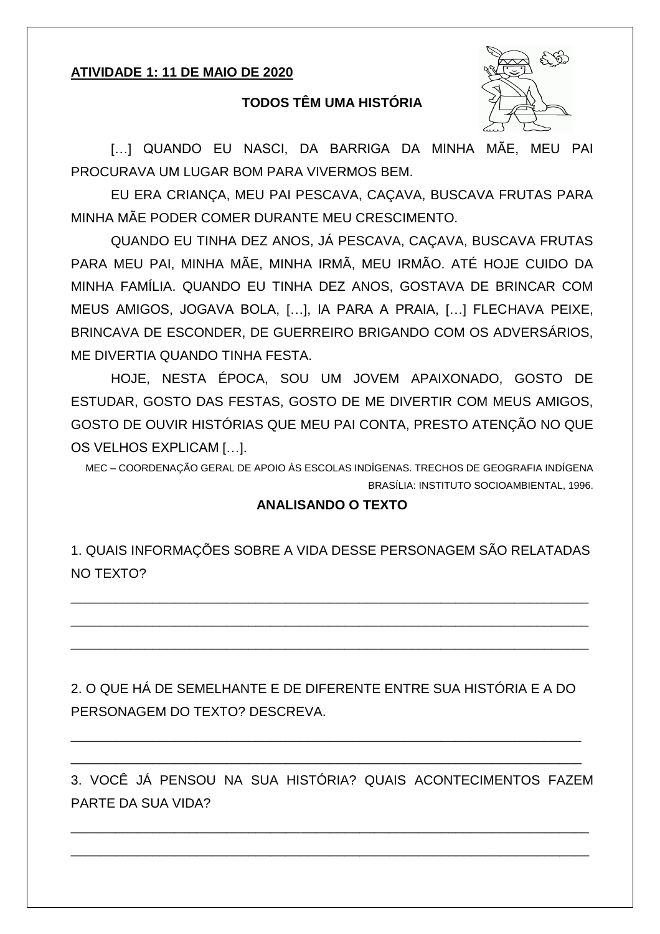## ATIVIDADE 1: 11 DE MAIO DE 2020

### **TODOS TÊM UMA HISTÓRIA**



[...] QUANDO EU NASCI, DA BARRIGA DA MINHA MÃE, MEU PAI PROCURAVA UM LUGAR BOM PARA VIVERMOS BEM.

EU ERA CRIANÇA, MEU PAI PESCAVA, CAÇAVA, BUSCAVA FRUTAS PARA MINHA MÃE PODER COMER DURANTE MEU CRESCIMENTO.

QUANDO EU TINHA DEZ ANOS, JÁ PESCAVA, CAÇAVA, BUSCAVA FRUTAS PARA MEU PAI, MINHA MÃE, MINHA IRMÃ, MEU IRMÃO. ATÉ HOJE CUIDO DA MINHA FAMÍLIA, QUANDO EU TINHA DEZ ANOS, GOSTAVA DE BRINCAR COM MEUS AMIGOS, JOGAVA BOLA, [...], IA PARA A PRAIA, [...] FLECHAVA PEIXE, BRINCAVA DE ESCONDER, DE GUERREIRO BRIGANDO COM OS ADVERSÁRIOS, ME DIVERTIA QUANDO TINHA FESTA.

HOJE, NESTA ÉPOCA, SOU UM JOVEM APAIXONADO, GOSTO DE ESTUDAR, GOSTO DAS FESTAS, GOSTO DE ME DIVERTIR COM MEUS AMIGOS, GOSTO DE OUVIR HISTÓRIAS QUE MEU PAI CONTA, PRESTO ATENÇÃO NO QUE OS VELHOS EXPLICAM [...].

MEC - COORDENAÇÃO GERAL DE APOIO ÀS ESCOLAS INDÍGENAS. TRECHOS DE GEOGRAFIA INDÍGENA BRASÍLIA: INSTITUTO SOCIOAMBIENTAL, 1996.

#### **ANALISANDO O TEXTO**

1. QUAIS INFORMAÇÕES SOBRE A VIDA DESSE PERSONAGEM SÃO RELATADAS NO TEXTO?

2. O QUE HÁ DE SEMEI HANTE E DE DIFERENTE ENTRE SUA HISTÓRIA E A DO PERSONAGEM DO TEXTO? DESCREVA.

3. VOCÊ JÁ PENSOU NA SUA HISTÓRIA? QUAIS ACONTECIMENTOS FAZEM PARTE DA SUA VIDA?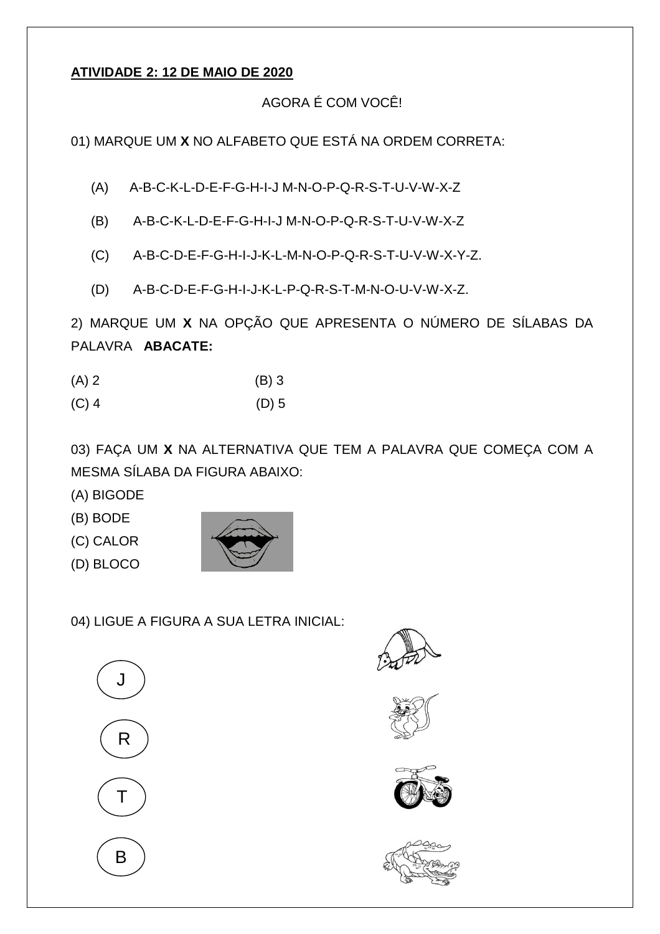## **ATIVIDADE 2: 12 DE MAIO DE 2020**

# AGORA É COM VOCÊ!

01) MARQUE UM **X** NO ALFABETO QUE ESTÁ NA ORDEM CORRETA:

- (A) A-B-C-K-L-D-E-F-G-H-I-J M-N-O-P-Q-R-S-T-U-V-W-X-Z
- (B) A-B-C-K-L-D-E-F-G-H-I-J M-N-O-P-Q-R-S-T-U-V-W-X-Z
- (C) A-B-C-D-E-F-G-H-I-J-K-L-M-N-O-P-Q-R-S-T-U-V-W-X-Y-Z.
- (D) A-B-C-D-E-F-G-H-I-J-K-L-P-Q-R-S-T-M-N-O-U-V-W-X-Z.

2) MARQUE UM **X** NA OPÇÃO QUE APRESENTA O NÚMERO DE SÍLABAS DA PALAVRA **ABACATE:** 

| $(A)$ 2    | $(B)$ 3               |
|------------|-----------------------|
| $\sqrt{2}$ | $\sqrt{N}$ $\sqrt{N}$ |

(C) 4 (D) 5

03) FAÇA UM **X** NA ALTERNATIVA QUE TEM A PALAVRA QUE COMEÇA COM A MESMA SÍLABA DA FIGURA ABAIXO:

- (A) BIGODE
- (B) BODE
- (C) CALOR
- (D) BLOCO



04) LIGUE A FIGURA A SUA LETRA INICIAL:









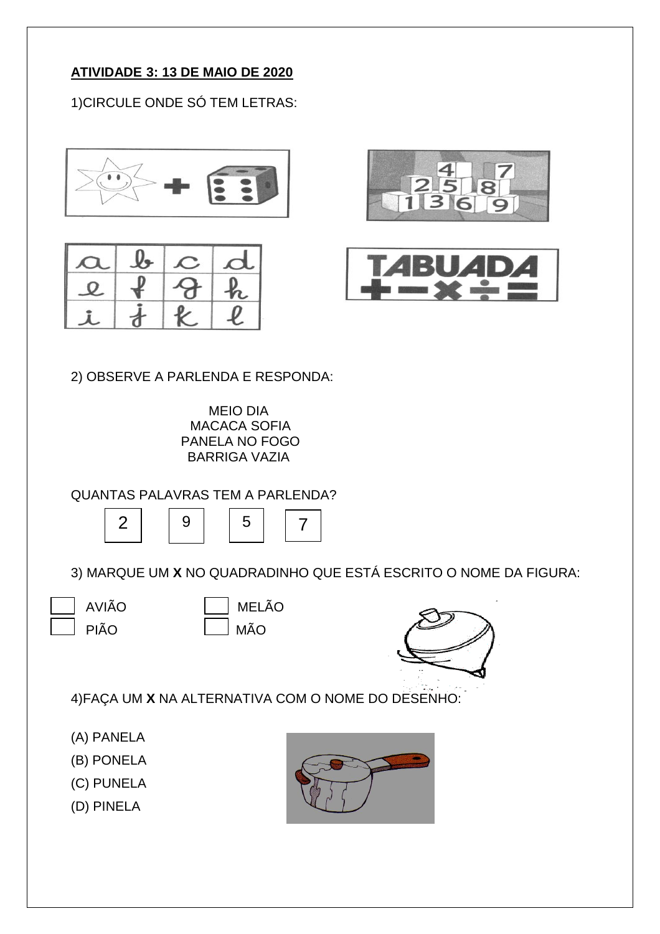# **ATIVIDADE 3: 13 DE MAIO DE 2020**

1)CIRCULE ONDE SÓ TEM LETRAS:









2) OBSERVE A PARLENDA E RESPONDA:

MEIO DIA MACACA SOFIA PANELA NO FOGO BARRIGA VAZIA

QUANTAS PALAVRAS TEM A PARLENDA?



3) MARQUE UM **X** NO QUADRADINHO QUE ESTÁ ESCRITO O NOME DA FIGURA:

AVIÃO MELÃO

PIÃO MÃO



4)FAÇA UM **X** NA ALTERNATIVA COM O NOME DO DESENHO:

- (A) PANELA
- (B) PONELA
- (C) PUNELA
- (D) PINELA

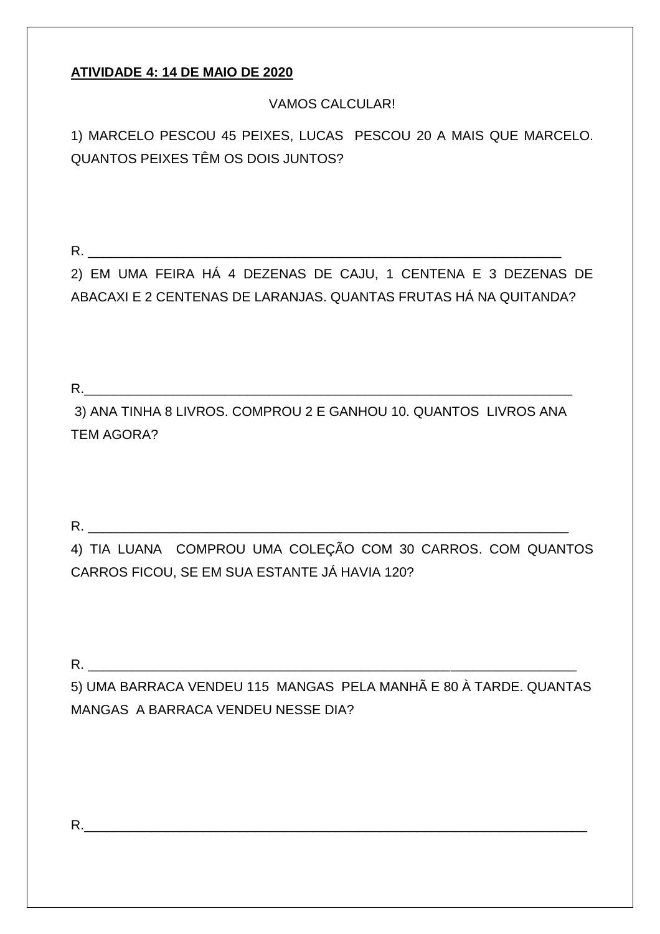# **ATIVIDADE 4: 14 DE MAIO DE 2020**

# **VAMOS CALCULAR!**

1) MARCELO PESCOU 45 PEIXES, LUCAS PESCOU 20 A MAIS QUE MARCELO. QUANTOS PEIXES TÊM OS DOIS JUNTOS?

 $R_{\rm}$ 

2) EM UMA FEIRA HÁ 4 DEZENAS DE CAJU, 1 CENTENA E 3 DEZENAS DE ABACAXI E 2 CENTENAS DE LARANJAS. QUANTAS FRUTAS HÁ NA QUITANDA?

 $R_{\rm c}$ 

3) ANA TINHA 8 LIVROS. COMPROU 2 E GANHOU 10. QUANTOS LIVROS ANA **TEM AGORA?** 

4) TIA LUANA COMPROU UMA COLEÇÃO COM 30 CARROS. COM QUANTOS CARROS FICOU, SE EM SUA ESTANTE JÁ HAVIA 120?

R.

5) UMA BARRACA VENDEU 115 MANGAS PELA MANHÃ E 80 À TARDE. QUANTAS MANGAS A BARRACA VENDEU NESSE DIA?